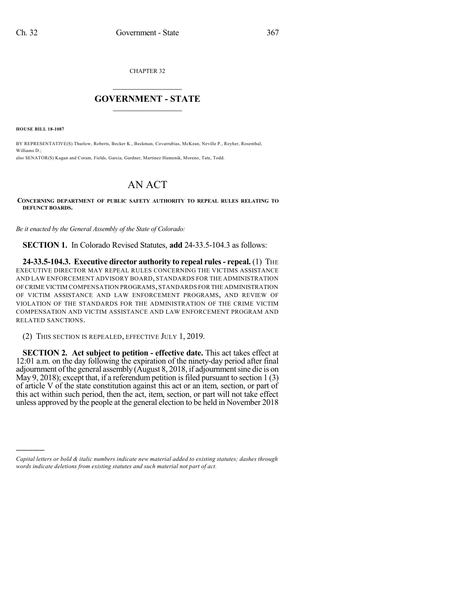CHAPTER 32

## $\overline{\phantom{a}}$  . The set of the set of the set of the set of the set of the set of the set of the set of the set of the set of the set of the set of the set of the set of the set of the set of the set of the set of the set o **GOVERNMENT - STATE**  $\_$   $\_$   $\_$   $\_$   $\_$   $\_$   $\_$   $\_$   $\_$

**HOUSE BILL 18-1087**

)))))

BY REPRESENTATIVE(S) Thurlow, Roberts, Becker K., Beckman, Covarrubias, McKean, Neville P., Reyher, Rosenthal, Williams D.; also SENATOR(S) Kagan and Coram, Fields, Garcia, Gardner, Martinez Humenik, Moreno, Tate, Todd.

## AN ACT

## **CONCERNING DEPARTMENT OF PUBLIC SAFETY AUTHORITY TO REPEAL RULES RELATING TO DEFUNCT BOARDS.**

*Be it enacted by the General Assembly of the State of Colorado:*

**SECTION 1.** In Colorado Revised Statutes, **add** 24-33.5-104.3 as follows:

**24-33.5-104.3. Executive director authority to repeal rules- repeal.** (1) THE EXECUTIVE DIRECTOR MAY REPEAL RULES CONCERNING THE VICTIMS ASSISTANCE AND LAW ENFORCEMENT ADVISORY BOARD, STANDARDS FOR THE ADMINISTRATION OFCRIME VICTIM COMPENSATION PROGRAMS,STANDARDS FOR THE ADMINISTRATION OF VICTIM ASSISTANCE AND LAW ENFORCEMENT PROGRAMS, AND REVIEW OF VIOLATION OF THE STANDARDS FOR THE ADMINISTRATION OF THE CRIME VICTIM COMPENSATION AND VICTIM ASSISTANCE AND LAW ENFORCEMENT PROGRAM AND RELATED SANCTIONS.

(2) THIS SECTION IS REPEALED, EFFECTIVE JULY 1, 2019.

**SECTION 2. Act subject to petition - effective date.** This act takes effect at 12:01 a.m. on the day following the expiration of the ninety-day period after final adjournment of the general assembly (August 8, 2018, if adjournment sine die is on May 9, 2018); except that, if a referendum petition is filed pursuant to section  $1(3)$ of article V of the state constitution against this act or an item, section, or part of this act within such period, then the act, item, section, or part will not take effect unless approved by the people at the general election to be held in November 2018

*Capital letters or bold & italic numbers indicate new material added to existing statutes; dashes through words indicate deletions from existing statutes and such material not part of act.*